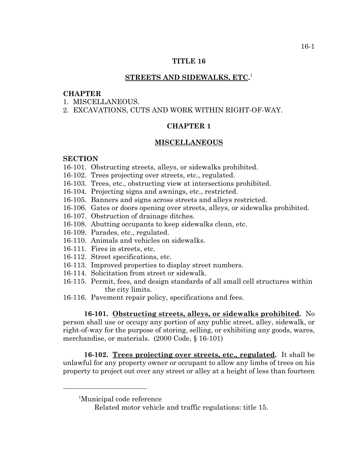### **TITLE 16**

# **STREETS AND SIDEWALKS, ETC.** 1

# **CHAPTER**

- 1 MISCELLANEOUS
- 2. EXCAVATIONS, CUTS AND WORK WITHIN RIGHT-OF-WAY.

# **CHAPTER 1**

#### **MISCELLANEOUS**

#### **SECTION**

- 16-101. Obstructing streets, alleys, or sidewalks prohibited.
- 16-102. Trees projecting over streets, etc., regulated.
- 16-103. Trees, etc., obstructing view at intersections prohibited.
- 16-104. Projecting signs and awnings, etc., restricted.
- 16-105. Banners and signs across streets and alleys restricted.
- 16-106. Gates or doors opening over streets, alleys, or sidewalks prohibited.
- 16-107. Obstruction of drainage ditches.
- 16-108. Abutting occupants to keep sidewalks clean, etc.
- 16-109. Parades, etc., regulated.
- 16-110. Animals and vehicles on sidewalks.
- 16-111. Fires in streets, etc.
- 16-112. Street specifications, etc.
- 16-113. Improved properties to display street numbers.
- 16-114. Solicitation from street or sidewalk.
- 16-115. Permit, fees, and design standards of all small cell structures within the city limits.
- 16-116. Pavement repair policy, specifications and fees.

**16-101. Obstructing streets, alleys, or sidewalks prohibited.** No person shall use or occupy any portion of any public street, alley, sidewalk, or right-of-way for the purpose of storing, selling, or exhibiting any goods, wares, merchandise, or materials. (2000 Code, § 16-101)

**16-102. Trees projecting over streets, etc., regulated.** It shall be unlawful for any property owner or occupant to allow any limbs of trees on his property to project out over any street or alley at a height of less than fourteen

<sup>1</sup> Municipal code reference

Related motor vehicle and traffic regulations: title 15.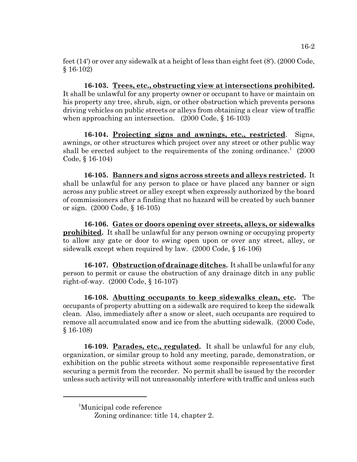feet (14') or over any sidewalk at a height of less than eight feet (8'). (2000 Code, § 16-102)

**16-103. Trees, etc., obstructing view at intersections prohibited.** It shall be unlawful for any property owner or occupant to have or maintain on his property any tree, shrub, sign, or other obstruction which prevents persons driving vehicles on public streets or alleys from obtaining a clear view of traffic when approaching an intersection. (2000 Code, § 16-103)

**16-104. Projecting signs and awnings, etc., restricted**. Signs, awnings, or other structures which project over any street or other public way shall be erected subject to the requirements of the zoning ordinance.<sup>1</sup>  $(2000$ Code, § 16-104)

**16-105. Banners and signs across streets and alleys restricted.** It shall be unlawful for any person to place or have placed any banner or sign across any public street or alley except when expressly authorized by the board of commissioners after a finding that no hazard will be created by such banner or sign. (2000 Code, § 16-105)

**16-106. Gates or doors opening over streets, alleys, or sidewalks prohibited.** It shall be unlawful for any person owning or occupying property to allow any gate or door to swing open upon or over any street, alley, or sidewalk except when required by law. (2000 Code, § 16-106)

**16-107. Obstruction of drainage ditches.** It shall be unlawful for any person to permit or cause the obstruction of any drainage ditch in any public right-of-way. (2000 Code, § 16-107)

**16-108. Abutting occupants to keep sidewalks clean, etc.** The occupants of property abutting on a sidewalk are required to keep the sidewalk clean. Also, immediately after a snow or sleet, such occupants are required to remove all accumulated snow and ice from the abutting sidewalk. (2000 Code, § 16-108)

**16-109. Parades, etc., regulated.** It shall be unlawful for any club, organization, or similar group to hold any meeting, parade, demonstration, or exhibition on the public streets without some responsible representative first securing a permit from the recorder. No permit shall be issued by the recorder unless such activity will not unreasonably interfere with traffic and unless such

<sup>1</sup> Municipal code reference

Zoning ordinance: title 14, chapter 2.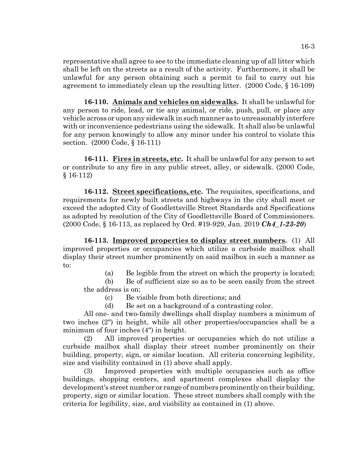representative shall agree to see to the immediate cleaning up of all litter which shall be left on the streets as a result of the activity. Furthermore, it shall be unlawful for any person obtaining such a permit to fail to carry out his agreement to immediately clean up the resulting litter. (2000 Code, § 16-109)

**16-110. Animals and vehicles on sidewalks.** It shall be unlawful for any person to ride, lead, or tie any animal, or ride, push, pull, or place any vehicle across or upon any sidewalk in such manner as to unreasonably interfere with or inconvenience pedestrians using the sidewalk. It shall also be unlawful for any person knowingly to allow any minor under his control to violate this section. (2000 Code, § 16-111)

**16-111. Fires in streets, etc.** It shall be unlawful for any person to set or contribute to any fire in any public street, alley, or sidewalk. (2000 Code, § 16-112)

**16-112. Street specifications, etc.** The requisites, specifications, and requirements for newly built streets and highways in the city shall meet or exceed the adopted City of Goodlettsville Street Standards and Specifications as adopted by resolution of the City of Goodlettsville Board of Commissioners. (2000 Code, § 16-113, as replaced by Ord. #19-929, Jan. 2019 *Ch4\_1-23-20*)

**16-113. Improved properties to display street numbers.** (1) All improved properties or occupancies which utilize a curbside mailbox shall display their street number prominently on said mailbox in such a manner as to:

(a) Be legible from the street on which the property is located;

(b) Be of sufficient size so as to be seen easily from the street the address is on;

(c) Be visible from both directions; and

(d) Be set on a background of a contrasting color.

All one- and two-family dwellings shall display numbers a minimum of two inches (2") in height, while all other properties/occupancies shall be a minimum of four inches (4") in height.

(2) All improved properties or occupancies which do not utilize a curbside mailbox shall display their street number prominently on their building, property, sign, or similar location. All criteria concerning legibility, size and visibility contained in (1) above shall apply.

(3) Improved properties with multiple occupancies such as office buildings, shopping centers, and apartment complexes shall display the development's street number or range of numbers prominently on their building, property, sign or similar location. These street numbers shall comply with the criteria for legibility, size, and visibility as contained in (1) above.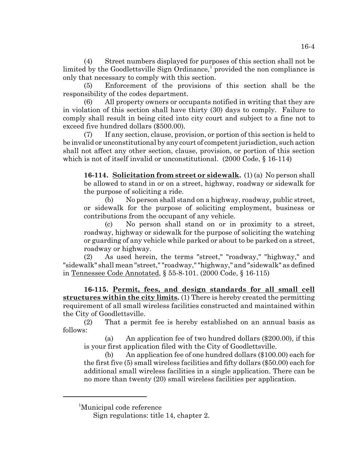(4) Street numbers displayed for purposes of this section shall not be limited by the Goodlettsville Sign Ordinance,<sup>1</sup> provided the non compliance is only that necessary to comply with this section.

(5) Enforcement of the provisions of this section shall be the responsibility of the codes department.

(6) All property owners or occupants notified in writing that they are in violation of this section shall have thirty (30) days to comply. Failure to comply shall result in being cited into city court and subject to a fine not to exceed five hundred dollars (\$500.00).

(7) If any section, clause, provision, or portion of this section is held to be invalid or unconstitutional by any court of competent jurisdiction, such action shall not affect any other section, clause, provision, or portion of this section which is not of itself invalid or unconstitutional. (2000 Code, § 16-114)

**16-114. Solicitation from street or sidewalk.** (1) (a) No person shall be allowed to stand in or on a street, highway, roadway or sidewalk for the purpose of soliciting a ride.

(b) No person shall stand on a highway, roadway, public street, or sidewalk for the purpose of soliciting employment, business or contributions from the occupant of any vehicle.

(c) No person shall stand on or in proximity to a street, roadway, highway or sidewalk for the purpose of soliciting the watching or guarding of any vehicle while parked or about to be parked on a street, roadway or highway.

(2) As used herein, the terms "street," "roadway," "highway," and "sidewalk" shall mean "street," "roadway," "highway," and "sidewalk" as defined in Tennessee Code Annotated, § 55-8-101. (2000 Code, § 16-115)

**16-115. Permit, fees, and design standards for all small cell structures within the city limits.** (1) There is hereby created the permitting requirement of all small wireless facilities constructed and maintained within the City of Goodlettsville.

(2) That a permit fee is hereby established on an annual basis as follows:

(a) An application fee of two hundred dollars (\$200.00), if this is your first application filed with the City of Goodlettsville.

(b) An application fee of one hundred dollars (\$100.00) each for the first five (5) small wireless facilities and fifty dollars (\$50.00) each for additional small wireless facilities in a single application. There can be no more than twenty (20) small wireless facilities per application.

<sup>1</sup> Municipal code reference

Sign regulations: title 14, chapter 2.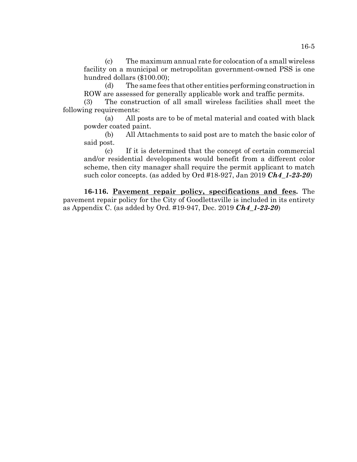(c) The maximum annual rate for colocation of a small wireless facility on a municipal or metropolitan government-owned PSS is one hundred dollars (\$100.00);

(d) The same fees that other entities performing construction in ROW are assessed for generally applicable work and traffic permits.

(3) The construction of all small wireless facilities shall meet the following requirements:

(a) All posts are to be of metal material and coated with black powder coated paint.

(b) All Attachments to said post are to match the basic color of said post.

(c) If it is determined that the concept of certain commercial and/or residential developments would benefit from a different color scheme, then city manager shall require the permit applicant to match such color concepts. (as added by Ord #18-927, Jan 2019 *Ch4\_1-23-20*)

**16-116. Pavement repair policy, specifications and fees.** The pavement repair policy for the City of Goodlettsville is included in its entirety as Appendix C. (as added by Ord. #19-947, Dec. 2019 *Ch4\_1-23-20*)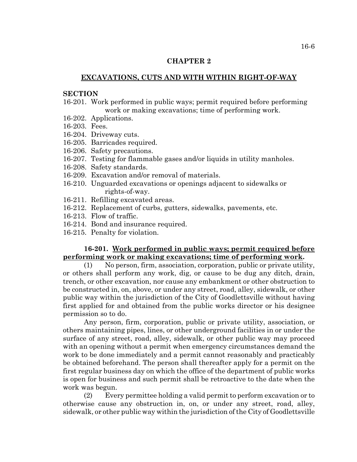### **CHAPTER 2**

# **EXCAVATIONS, CUTS AND WITH WITHIN RIGHT-OF-WAY**

# **SECTION**

- 16-201. Work performed in public ways; permit required before performing work or making excavations; time of performing work.
- 16-202. Applications.
- 16-203. Fees.
- 16-204. Driveway cuts.
- 16-205. Barricades required.
- 16-206. Safety precautions.
- 16-207. Testing for flammable gases and/or liquids in utility manholes.
- 16-208. Safety standards.
- 16-209. Excavation and/or removal of materials.
- 16-210. Unguarded excavations or openings adjacent to sidewalks or rights-of-way.
- 16-211. Refilling excavated areas.
- 16-212. Replacement of curbs, gutters, sidewalks, pavements, etc.
- 16-213. Flow of traffic.
- 16-214. Bond and insurance required.
- 16-215. Penalty for violation.

### **16-201. Work performed in public ways; permit required before performing work or making excavations; time of performing work.**

(1) No person, firm, association, corporation, public or private utility, or others shall perform any work, dig, or cause to be dug any ditch, drain, trench, or other excavation, nor cause any embankment or other obstruction to be constructed in, on, above, or under any street, road, alley, sidewalk, or other public way within the jurisdiction of the City of Goodlettsville without having first applied for and obtained from the public works director or his designee permission so to do.

Any person, firm, corporation, public or private utility, association, or others maintaining pipes, lines, or other underground facilities in or under the surface of any street, road, alley, sidewalk, or other public way may proceed with an opening without a permit when emergency circumstances demand the work to be done immediately and a permit cannot reasonably and practicably be obtained beforehand. The person shall thereafter apply for a permit on the first regular business day on which the office of the department of public works is open for business and such permit shall be retroactive to the date when the work was begun.

(2) Every permittee holding a valid permit to perform excavation or to otherwise cause any obstruction in, on, or under any street, road, alley, sidewalk, or other public way within the jurisdiction of the City of Goodlettsville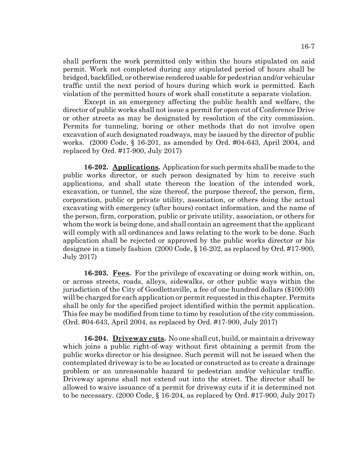shall perform the work permitted only within the hours stipulated on said permit. Work not completed during any stipulated period of hours shall be bridged, backfilled, or otherwise rendered usable for pedestrian and/or vehicular traffic until the next period of hours during which work is permitted. Each violation of the permitted hours of work shall constitute a separate violation.

Except in an emergency affecting the public health and welfare, the director of public works shall not issue a permit for open cut of Conference Drive or other streets as may be designated by resolution of the city commission. Permits for tunneling, boring or other methods that do not involve open excavation of such designated roadways, may be issued by the director of public works. (2000 Code, § 16-201, as amended by Ord. #04-643, April 2004, and replaced by Ord. #17-900, July 2017)

**16-202. Applications.** Application for such permits shall be made to the public works director, or such person designated by him to receive such applications, and shall state thereon the location of the intended work, excavation, or tunnel, the size thereof, the purpose thereof, the person, firm, corporation, public or private utility, association, or others doing the actual excavating with emergency (after hours) contact information, and the name of the person, firm, corporation, public or private utility, association, or others for whom the work is being done, and shall contain an agreement that the applicant will comply with all ordinances and laws relating to the work to be done. Such application shall be rejected or approved by the public works director or his designee in a timely fashion (2000 Code, § 16-202, as replaced by Ord. #17-900, July 2017)

**16-203. Fees.** For the privilege of excavating or doing work within, on, or across streets, roads, alleys, sidewalks, or other public ways within the jurisdiction of the City of Goodlettsville, a fee of one hundred dollars (\$100.00) will be charged for each application or permit requested in this chapter. Permits shall be only for the specified project identified within the permit application. This fee may be modified from time to time by resolution of the city commission. (Ord. #04-643, April 2004, as replaced by Ord. #17-900, July 2017)

**16-204. Driveway cuts.** No one shall cut, build, or maintain a driveway which joins a public right-of-way without first obtaining a permit from the public works director or his designee. Such permit will not be issued when the contemplated driveway is to be so located or constructed as to create a drainage problem or an unreasonable hazard to pedestrian and/or vehicular traffic. Driveway aprons shall not extend out into the street. The director shall be allowed to waive issuance of a permit for driveway cuts if it is determined not to be necessary. (2000 Code, § 16-204, as replaced by Ord. #17-900, July 2017)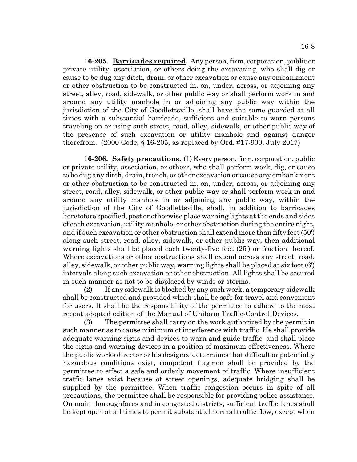**16-205. Barricades required.** Any person, firm, corporation, public or private utility, association, or others doing the excavating, who shall dig or cause to be dug any ditch, drain, or other excavation or cause any embankment or other obstruction to be constructed in, on, under, across, or adjoining any street, alley, road, sidewalk, or other public way or shall perform work in and around any utility manhole in or adjoining any public way within the jurisdiction of the City of Goodlettsville, shall have the same guarded at all times with a substantial barricade, sufficient and suitable to warn persons traveling on or using such street, road, alley, sidewalk, or other public way of the presence of such excavation or utility manhole and against danger therefrom. (2000 Code, § 16-205, as replaced by Ord. #17-900, July 2017)

**16-206. Safety precautions.** (1) Every person, firm, corporation, public or private utility, association, or others, who shall perform work, dig, or cause to be dug any ditch, drain, trench, or other excavation or cause any embankment or other obstruction to be constructed in, on, under, across, or adjoining any street, road, alley, sidewalk, or other public way or shall perform work in and around any utility manhole in or adjoining any public way, within the jurisdiction of the City of Goodlettsville, shall, in addition to barricades heretofore specified, post or otherwise place warning lights at the ends and sides of each excavation, utility manhole, or other obstruction during the entire night, and if such excavation or other obstruction shall extend more than fifty feet (50') along such street, road, alley, sidewalk, or other public way, then additional warning lights shall be placed each twenty-five feet (25') or fraction thereof. Where excavations or other obstructions shall extend across any street, road, alley, sidewalk, or other public way, warning lights shall be placed at six foot (6') intervals along such excavation or other obstruction. All lights shall be secured in such manner as not to be displaced by winds or storms.

(2) If any sidewalk is blocked by any such work, a temporary sidewalk shall be constructed and provided which shall be safe for travel and convenient for users. It shall be the responsibility of the permittee to adhere to the most recent adopted edition of the Manual of Uniform Traffic-Control Devices.

(3) The permittee shall carry on the work authorized by the permit in such manner as to cause minimum of interference with traffic. He shall provide adequate warning signs and devices to warn and guide traffic, and shall place the signs and warning devices in a position of maximum effectiveness. Where the public works director or his designee determines that difficult or potentially hazardous conditions exist, competent flagmen shall be provided by the permittee to effect a safe and orderly movement of traffic. Where insufficient traffic lanes exist because of street openings, adequate bridging shall be supplied by the permittee. When traffic congestion occurs in spite of all precautions, the permittee shall be responsible for providing police assistance. On main thoroughfares and in congested districts, sufficient traffic lanes shall be kept open at all times to permit substantial normal traffic flow, except when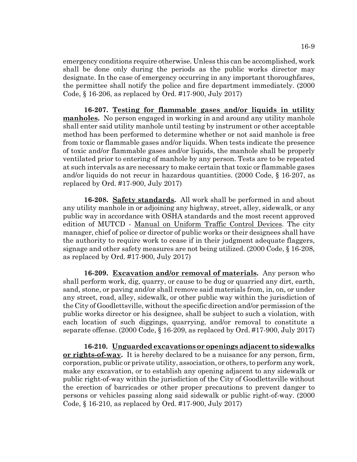emergency conditions require otherwise. Unless this can be accomplished, work shall be done only during the periods as the public works director may designate. In the case of emergency occurring in any important thoroughfares, the permittee shall notify the police and fire department immediately. (2000 Code, § 16-206, as replaced by Ord. #17-900, July 2017)

**16-207. Testing for flammable gases and/or liquids in utility manholes.** No person engaged in working in and around any utility manhole shall enter said utility manhole until testing by instrument or other acceptable method has been performed to determine whether or not said manhole is free from toxic or flammable gases and/or liquids. When tests indicate the presence of toxic and/or flammable gases and/or liquids, the manhole shall be properly ventilated prior to entering of manhole by any person. Tests are to be repeated at such intervals as are necessary to make certain that toxic or flammable gases and/or liquids do not recur in hazardous quantities. (2000 Code, § 16-207, as replaced by Ord. #17-900, July 2017)

**16-208. Safety standards.** All work shall be performed in and about any utility manhole in or adjoining any highway, street, alley, sidewalk, or any public way in accordance with OSHA standards and the most recent approved edition of MUTCD - Manual on Uniform Traffic Control Devices. The city manager, chief of police or director of public works or their designees shall have the authority to require work to cease if in their judgment adequate flaggers, signage and other safety measures are not being utilized. (2000 Code, § 16-208, as replaced by Ord. #17-900, July 2017)

**16-209. Excavation and/or removal of materials.** Any person who shall perform work, dig, quarry, or cause to be dug or quarried any dirt, earth, sand, stone, or paving and/or shall remove said materials from, in, on, or under any street, road, alley, sidewalk, or other public way within the jurisdiction of the City of Goodlettsville, without the specific direction and/or permission of the public works director or his designee, shall be subject to such a violation, with each location of such diggings, quarrying, and/or removal to constitute a separate offense. (2000 Code, § 16-209, as replaced by Ord. #17-900, July 2017)

**16-210. Unguarded excavations or openings adjacent to sidewalks or rights-of-way.** It is hereby declared to be a nuisance for any person, firm, corporation, public or private utility, association, or others, to perform any work, make any excavation, or to establish any opening adjacent to any sidewalk or public right-of-way within the jurisdiction of the City of Goodlettsville without the erection of barricades or other proper precautions to prevent danger to persons or vehicles passing along said sidewalk or public right-of-way. (2000 Code, § 16-210, as replaced by Ord. #17-900, July 2017)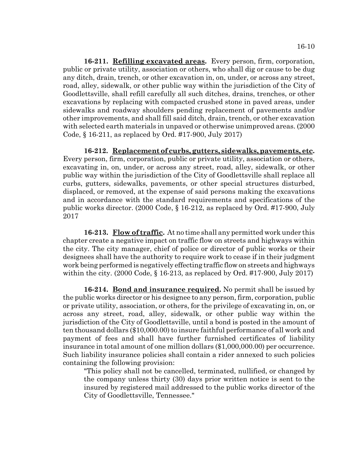**16-211. Refilling excavated areas.** Every person, firm, corporation, public or private utility, association or others, who shall dig or cause to be dug any ditch, drain, trench, or other excavation in, on, under, or across any street, road, alley, sidewalk, or other public way within the jurisdiction of the City of Goodlettsville, shall refill carefully all such ditches, drains, trenches, or other excavations by replacing with compacted crushed stone in paved areas, under sidewalks and roadway shoulders pending replacement of pavements and/or other improvements, and shall fill said ditch, drain, trench, or other excavation with selected earth materials in unpaved or otherwise unimproved areas. (2000 Code, § 16-211, as replaced by Ord. #17-900, July 2017)

**16-212. Replacement of curbs, gutters, sidewalks, pavements, etc.** Every person, firm, corporation, public or private utility, association or others, excavating in, on, under, or across any street, road, alley, sidewalk, or other public way within the jurisdiction of the City of Goodlettsville shall replace all curbs, gutters, sidewalks, pavements, or other special structures disturbed, displaced, or removed, at the expense of said persons making the excavations and in accordance with the standard requirements and specifications of the public works director. (2000 Code, § 16-212, as replaced by Ord. #17-900, July 2017

**16-213. Flow of traffic.** At no time shall any permitted work under this chapter create a negative impact on traffic flow on streets and highways within the city. The city manager, chief of police or director of public works or their designees shall have the authority to require work to cease if in their judgment work being performed is negatively effecting traffic flow on streets and highways within the city. (2000 Code, § 16-213, as replaced by Ord. #17-900, July 2017)

**16-214. Bond and insurance required.** No permit shall be issued by the public works director or his designee to any person, firm, corporation, public or private utility, association, or others, for the privilege of excavating in, on, or across any street, road, alley, sidewalk, or other public way within the jurisdiction of the City of Goodlettsville, until a bond is posted in the amount of ten thousand dollars (\$10,000.00) to insure faithful performance of all work and payment of fees and shall have further furnished certificates of liability insurance in total amount of one million dollars (\$1,000,000.00) per occurrence. Such liability insurance policies shall contain a rider annexed to such policies containing the following provision:

"This policy shall not be cancelled, terminated, nullified, or changed by the company unless thirty (30) days prior written notice is sent to the insured by registered mail addressed to the public works director of the City of Goodlettsville, Tennessee."